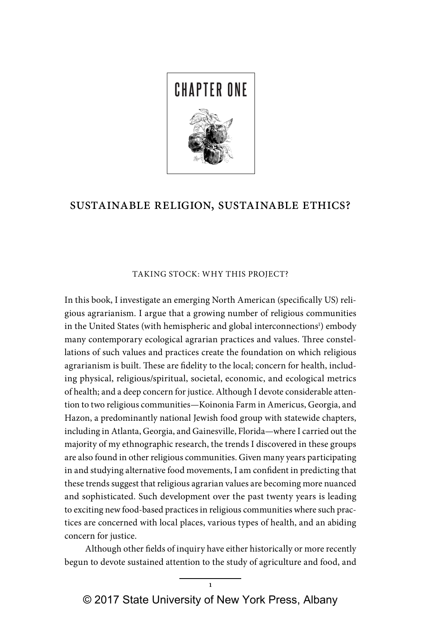

# sustainable religion, sustainable ethics?

## TAKING STOCK: WHY THIS PROJECT?

In this book, I investigate an emerging North American (specifically US) religious agrarianism. I argue that a growing number of religious communities in the United States (with hemispheric and global interconnections<sup>1</sup>) embody many contemporary ecological agrarian practices and values. Three constellations of such values and practices create the foundation on which religious agrarianism is built. These are fidelity to the local; concern for health, including physical, religious/spiritual, societal, economic, and ecological metrics of health; and a deep concern for justice. Although I devote considerable attention to two religious communities—Koinonia Farm in Americus, Georgia, and Hazon, a predominantly national Jewish food group with statewide chapters, including in Atlanta, Georgia, and Gainesville, Florida—where I carried out the majority of my ethnographic research, the trends I discovered in these groups are also found in other religious communities. Given many years participating in and studying alternative food movements, I am confident in predicting that these trends suggest that religious agrarian values are becoming more nuanced and sophisticated. Such development over the past twenty years is leading to exciting new food-based practices in religious communities where such practices are concerned with local places, various types of health, and an abiding concern for justice.

Although other fields of inquiry have either historically or more recently begun to devote sustained attention to the study of agriculture and food, and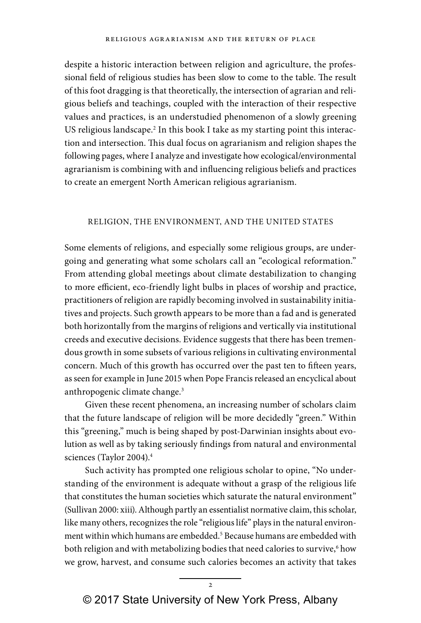despite a historic interaction between religion and agriculture, the professional field of religious studies has been slow to come to the table. The result of this foot dragging is that theoretically, the intersection of agrarian and religious beliefs and teachings, coupled with the interaction of their respective values and practices, is an understudied phenomenon of a slowly greening US religious landscape.<sup>2</sup> In this book I take as my starting point this interaction and intersection. This dual focus on agrarianism and religion shapes the following pages, where I analyze and investigate how ecological/environmental agrarianism is combining with and influencing religious beliefs and practices to create an emergent North American religious agrarianism.

### RELIGION, THE ENVIRONMENT, AND THE UNITED STATES

Some elements of religions, and especially some religious groups, are undergoing and generating what some scholars call an "ecological reformation." From attending global meetings about climate destabilization to changing to more efficient, eco-friendly light bulbs in places of worship and practice, practitioners of religion are rapidly becoming involved in sustainability initiatives and projects. Such growth appears to be more than a fad and is generated both horizontally from the margins of religions and vertically via institutional creeds and executive decisions. Evidence suggests that there has been tremendous growth in some subsets of various religions in cultivating environmental concern. Much of this growth has occurred over the past ten to fifteen years, as seen for example in June 2015 when Pope Francis released an encyclical about anthropogenic climate change.<sup>3</sup>

Given these recent phenomena, an increasing number of scholars claim that the future landscape of religion will be more decidedly "green." Within this "greening," much is being shaped by post-Darwinian insights about evolution as well as by taking seriously findings from natural and environmental sciences (Taylor 2004).<sup>4</sup>

Such activity has prompted one religious scholar to opine, "No understanding of the environment is adequate without a grasp of the religious life that constitutes the human societies which saturate the natural environment" (Sullivan 2000: xiii). Although partly an essentialist normative claim, this scholar, like many others, recognizes the role "religious life" plays in the natural environment within which humans are embedded.<sup>5</sup> Because humans are embedded with both religion and with metabolizing bodies that need calories to survive,<sup>6</sup> how we grow, harvest, and consume such calories becomes an activity that takes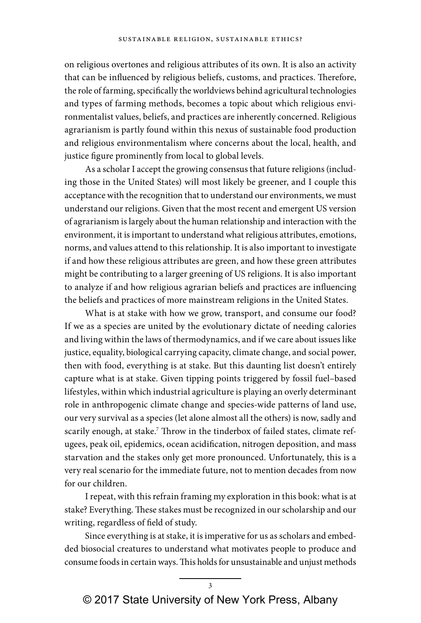on religious overtones and religious attributes of its own. It is also an activity that can be influenced by religious beliefs, customs, and practices. Therefore, the role of farming, specifically the worldviews behind agricultural technologies and types of farming methods, becomes a topic about which religious environmentalist values, beliefs, and practices are inherently concerned. Religious agrarianism is partly found within this nexus of sustainable food production and religious environmentalism where concerns about the local, health, and justice figure prominently from local to global levels.

As a scholar I accept the growing consensus that future religions (including those in the United States) will most likely be greener, and I couple this acceptance with the recognition that to understand our environments, we must understand our religions. Given that the most recent and emergent US version of agrarianism is largely about the human relationship and interaction with the environment, it is important to understand what religious attributes, emotions, norms, and values attend to this relationship. It is also important to investigate if and how these religious attributes are green, and how these green attributes might be contributing to a larger greening of US religions. It is also important to analyze if and how religious agrarian beliefs and practices are influencing the beliefs and practices of more mainstream religions in the United States.

What is at stake with how we grow, transport, and consume our food? If we as a species are united by the evolutionary dictate of needing calories and living within the laws of thermodynamics, and if we care about issues like justice, equality, biological carrying capacity, climate change, and social power, then with food, everything is at stake. But this daunting list doesn't entirely capture what is at stake. Given tipping points triggered by fossil fuel–based lifestyles, within which industrial agriculture is playing an overly determinant role in anthropogenic climate change and species-wide patterns of land use, our very survival as a species (let alone almost all the others) is now, sadly and scarily enough, at stake.<sup>7</sup> Throw in the tinderbox of failed states, climate refugees, peak oil, epidemics, ocean acidification, nitrogen deposition, and mass starvation and the stakes only get more pronounced. Unfortunately, this is a very real scenario for the immediate future, not to mention decades from now for our children.

I repeat, with this refrain framing my exploration in this book: what is at stake? Everything. These stakes must be recognized in our scholarship and our writing, regardless of field of study.

Since everything is at stake, it is imperative for us as scholars and embedded biosocial creatures to understand what motivates people to produce and consume foods in certain ways. This holds for unsustainable and unjust methods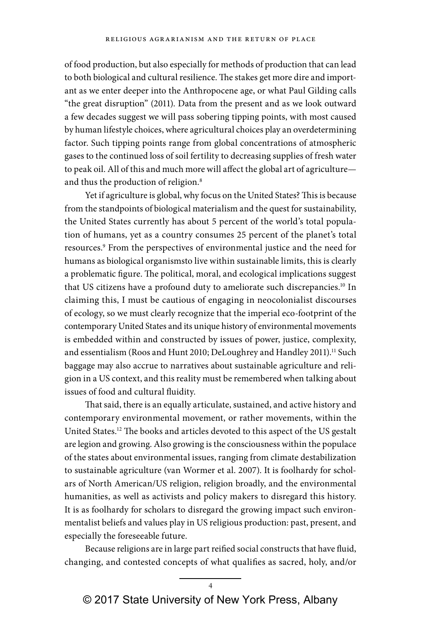of food production, but also especially for methods of production that can lead to both biological and cultural resilience. The stakes get more dire and important as we enter deeper into the Anthropocene age, or what Paul Gilding calls "the great disruption" (2011). Data from the present and as we look outward a few decades suggest we will pass sobering tipping points, with most caused by human lifestyle choices, where agricultural choices play an overdetermining factor. Such tipping points range from global concentrations of atmospheric gases to the continued loss of soil fertility to decreasing supplies of fresh water to peak oil. All of this and much more will affect the global art of agriculture and thus the production of religion.<sup>8</sup>

Yet if agriculture is global, why focus on the United States? This is because from the standpoints of biological materialism and the quest for sustainability, the United States currently has about 5 percent of the world's total population of humans, yet as a country consumes 25 percent of the planet's total resources.9 From the perspectives of environmental justice and the need for humans as biological organismsto live within sustainable limits, this is clearly a problematic figure. The political, moral, and ecological implications suggest that US citizens have a profound duty to ameliorate such discrepancies.<sup>10</sup> In claiming this, I must be cautious of engaging in neocolonialist discourses of ecology, so we must clearly recognize that the imperial eco-footprint of the contemporary United States and its unique history of environmental movements is embedded within and constructed by issues of power, justice, complexity, and essentialism (Roos and Hunt 2010; DeLoughrey and Handley 2011).<sup>11</sup> Such baggage may also accrue to narratives about sustainable agriculture and religion in a US context, and this reality must be remembered when talking about issues of food and cultural fluidity.

That said, there is an equally articulate, sustained, and active history and contemporary environmental movement, or rather movements, within the United States.<sup>12</sup> The books and articles devoted to this aspect of the US gestalt are legion and growing. Also growing is the consciousness within the populace of the states about environmental issues, ranging from climate destabilization to sustainable agriculture (van Wormer et al. 2007). It is foolhardy for scholars of North American/US religion, religion broadly, and the environmental humanities, as well as activists and policy makers to disregard this history. It is as foolhardy for scholars to disregard the growing impact such environmentalist beliefs and values play in US religious production: past, present, and especially the foreseeable future.

Because religions are in large part reified social constructs that have fluid, changing, and contested concepts of what qualifies as sacred, holy, and/or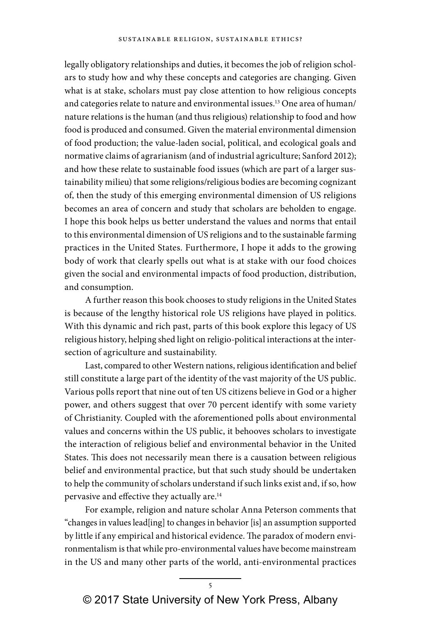legally obligatory relationships and duties, it becomes the job of religion scholars to study how and why these concepts and categories are changing. Given what is at stake, scholars must pay close attention to how religious concepts and categories relate to nature and environmental issues.<sup>13</sup> One area of human/ nature relations is the human (and thus religious) relationship to food and how food is produced and consumed. Given the material environmental dimension of food production; the value-laden social, political, and ecological goals and normative claims of agrarianism (and of industrial agriculture; Sanford 2012); and how these relate to sustainable food issues (which are part of a larger sustainability milieu) that some religions/religious bodies are becoming cognizant of, then the study of this emerging environmental dimension of US religions becomes an area of concern and study that scholars are beholden to engage. I hope this book helps us better understand the values and norms that entail to this environmental dimension of US religions and to the sustainable farming practices in the United States. Furthermore, I hope it adds to the growing body of work that clearly spells out what is at stake with our food choices given the social and environmental impacts of food production, distribution, and consumption.

A further reason this book chooses to study religions in the United States is because of the lengthy historical role US religions have played in politics. With this dynamic and rich past, parts of this book explore this legacy of US religious history, helping shed light on religio-political interactions at the intersection of agriculture and sustainability.

Last, compared to other Western nations, religious identification and belief still constitute a large part of the identity of the vast majority of the US public. Various polls report that nine out of ten US citizens believe in God or a higher power, and others suggest that over 70 percent identify with some variety of Christianity. Coupled with the aforementioned polls about environmental values and concerns within the US public, it behooves scholars to investigate the interaction of religious belief and environmental behavior in the United States. This does not necessarily mean there is a causation between religious belief and environmental practice, but that such study should be undertaken to help the community of scholars understand if such links exist and, if so, how pervasive and effective they actually are.14

For example, religion and nature scholar Anna Peterson comments that "changes in values lead[ing] to changes in behavior [is] an assumption supported by little if any empirical and historical evidence. The paradox of modern environmentalism is that while pro-environmental values have become mainstream in the US and many other parts of the world, anti-environmental practices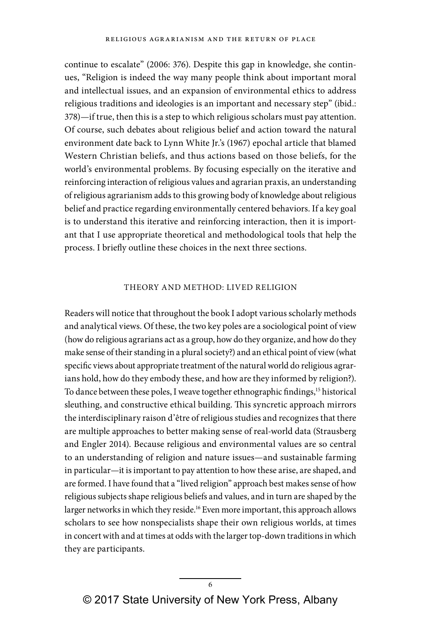continue to escalate" (2006: 376). Despite this gap in knowledge, she continues, "Religion is indeed the way many people think about important moral and intellectual issues, and an expansion of environmental ethics to address religious traditions and ideologies is an important and necessary step" (ibid.: 378)—if true, then this is a step to which religious scholars must pay attention. Of course, such debates about religious belief and action toward the natural environment date back to Lynn White Jr.'s (1967) epochal article that blamed Western Christian beliefs, and thus actions based on those beliefs, for the world's environmental problems. By focusing especially on the iterative and reinforcing interaction of religious values and agrarian praxis, an understanding of religious agrarianism adds to this growing body of knowledge about religious belief and practice regarding environmentally centered behaviors. If a key goal is to understand this iterative and reinforcing interaction, then it is important that I use appropriate theoretical and methodological tools that help the process. I briefly outline these choices in the next three sections.

#### THEORY AND METHOD: LIVED RELIGION

Readers will notice that throughout the book I adopt various scholarly methods and analytical views. Of these, the two key poles are a sociological point of view (how do religious agrarians act as a group, how do they organize, and how do they make sense of their standing in a plural society?) and an ethical point of view (what specific views about appropriate treatment of the natural world do religious agrarians hold, how do they embody these, and how are they informed by religion?). To dance between these poles, I weave together ethnographic findings,<sup>15</sup> historical sleuthing, and constructive ethical building. This syncretic approach mirrors the interdisciplinary raison d'être of religious studies and recognizes that there are multiple approaches to better making sense of real-world data (Strausberg and Engler 2014). Because religious and environmental values are so central to an understanding of religion and nature issues—and sustainable farming in particular—it is important to pay attention to how these arise, are shaped, and are formed. I have found that a "lived religion" approach best makes sense of how religious subjects shape religious beliefs and values, and in turn are shaped by the larger networks in which they reside.<sup>16</sup> Even more important, this approach allows scholars to see how nonspecialists shape their own religious worlds, at times in concert with and at times at odds with the larger top-down traditions in which they are participants.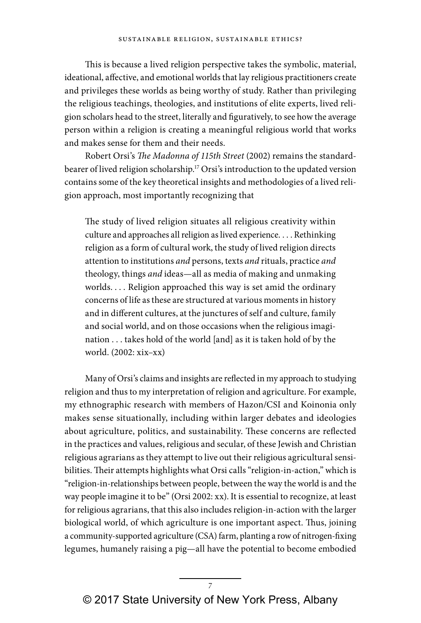This is because a lived religion perspective takes the symbolic, material, ideational, affective, and emotional worlds that lay religious practitioners create and privileges these worlds as being worthy of study. Rather than privileging the religious teachings, theologies, and institutions of elite experts, lived religion scholars head to the street, literally and figuratively, to see how the average person within a religion is creating a meaningful religious world that works and makes sense for them and their needs.

Robert Orsi's The Madonna of 115th Street (2002) remains the standardbearer of lived religion scholarship.<sup>17</sup> Orsi's introduction to the updated version contains some of the key theoretical insights and methodologies of a lived religion approach, most importantly recognizing that

The study of lived religion situates all religious creativity within culture and approaches all religion as lived experience. . . . Rethinking religion as a form of cultural work, the study of lived religion directs attention to institutions and persons, texts and rituals, practice and theology, things and ideas—all as media of making and unmaking worlds. . . . Religion approached this way is set amid the ordinary concerns of life as these are structured at various moments in history and in different cultures, at the junctures of self and culture, family and social world, and on those occasions when the religious imagination . . . takes hold of the world [and] as it is taken hold of by the world. (2002: xix–xx)

Many of Orsi's claims and insights are reflected in my approach to studying religion and thus to my interpretation of religion and agriculture. For example, my ethnographic research with members of Hazon/CSI and Koinonia only makes sense situationally, including within larger debates and ideologies about agriculture, politics, and sustainability. These concerns are reflected in the practices and values, religious and secular, of these Jewish and Christian religious agrarians as they attempt to live out their religious agricultural sensibilities. Their attempts highlights what Orsi calls "religion-in-action," which is "religion-in-relationships between people, between the way the world is and the way people imagine it to be" (Orsi 2002: xx). It is essential to recognize, at least for religious agrarians, that this also includes religion-in-action with the larger biological world, of which agriculture is one important aspect. Thus, joining a community-supported agriculture (CSA) farm, planting a row of nitrogen-fixing legumes, humanely raising a pig—all have the potential to become embodied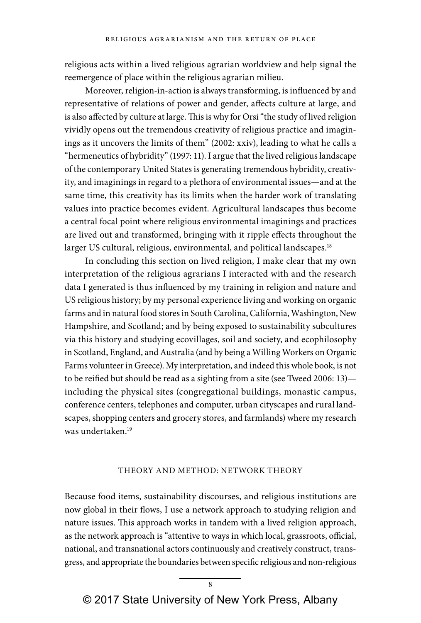religious acts within a lived religious agrarian worldview and help signal the reemergence of place within the religious agrarian milieu.

Moreover, religion-in-action is always transforming, is influenced by and representative of relations of power and gender, affects culture at large, and is also affected by culture at large. This is why for Orsi "the study of lived religion vividly opens out the tremendous creativity of religious practice and imaginings as it uncovers the limits of them" (2002: xxiv), leading to what he calls a "hermeneutics of hybridity" (1997: 11). I argue that the lived religious landscape of the contemporary United States is generating tremendous hybridity, creativity, and imaginings in regard to a plethora of environmental issues—and at the same time, this creativity has its limits when the harder work of translating values into practice becomes evident. Agricultural landscapes thus become a central focal point where religious environmental imaginings and practices are lived out and transformed, bringing with it ripple effects throughout the larger US cultural, religious, environmental, and political landscapes.<sup>18</sup>

In concluding this section on lived religion, I make clear that my own interpretation of the religious agrarians I interacted with and the research data I generated is thus influenced by my training in religion and nature and US religious history; by my personal experience living and working on organic farms and in natural food stores in South Carolina, California, Washington, New Hampshire, and Scotland; and by being exposed to sustainability subcultures via this history and studying ecovillages, soil and society, and ecophilosophy in Scotland, England, and Australia (and by being a Willing Workers on Organic Farms volunteer in Greece). My interpretation, and indeed this whole book, is not to be reified but should be read as a sighting from a site (see Tweed 2006: 13) including the physical sites (congregational buildings, monastic campus, conference centers, telephones and computer, urban cityscapes and rural landscapes, shopping centers and grocery stores, and farmlands) where my research was undertaken.19

### THEORY AND METHOD: NETWORK THEORY

Because food items, sustainability discourses, and religious institutions are now global in their flows, I use a network approach to studying religion and nature issues. This approach works in tandem with a lived religion approach, as the network approach is "attentive to ways in which local, grassroots, official, national, and transnational actors continuously and creatively construct, transgress, and appropriate the boundaries between specific religious and non-religious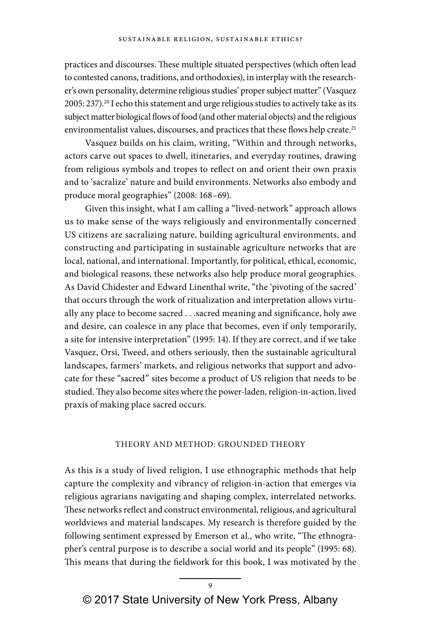practices and discourses. These multiple situated perspectives (which often lead to contested canons, traditions, and orthodoxies), in interplay with the researcher's own personality, determine religious studies' proper subject matter" (Vasquez 2005: 237).<sup>20</sup> I echo this statement and urge religious studies to actively take as its subject matter biological flows of food (and other material objects) and the religious environmentalist values, discourses, and practices that these flows help create.<sup>21</sup>

Vasquez builds on his claim, writing, "Within and through networks, actors carve out spaces to dwell, itineraries, and everyday routines, drawing from religious symbols and tropes to reflect on and orient their own praxis and to 'sacralize' nature and build environments. Networks also embody and produce moral geographies" (2008: 168–69).

Given this insight, what I am calling a "lived-network" approach allows us to make sense of the ways religiously and environmentally concerned US citizens are sacralizing nature, building agricultural environments, and constructing and participating in sustainable agriculture networks that are local, national, and international. Importantly, for political, ethical, economic, and biological reasons, these networks also help produce moral geographies. As David Chidester and Edward Linenthal write, "the 'pivoting of the sacred' that occurs through the work of ritualization and interpretation allows virtually any place to become sacred . . .sacred meaning and significance, holy awe and desire, can coalesce in any place that becomes, even if only temporarily, a site for intensive interpretation" (1995: 14). If they are correct, and if we take Vasquez, Orsi, Tweed, and others seriously, then the sustainable agricultural landscapes, farmers' markets, and religious networks that support and advocate for these "sacred" sites become a product of US religion that needs to be studied. They also become sites where the power-laden, religion-in-action, lived praxis of making place sacred occurs.

## THEORY AND METHOD: GROUNDED THEORY

As this is a study of lived religion, I use ethnographic methods that help capture the complexity and vibrancy of religion-in-action that emerges via religious agrarians navigating and shaping complex, interrelated networks. These networks reflect and construct environmental, religious, and agricultural worldviews and material landscapes. My research is therefore guided by the following sentiment expressed by Emerson et al., who write, "The ethnographer's central purpose is to describe a social world and its people" (1995: 68). This means that during the fieldwork for this book, I was motivated by the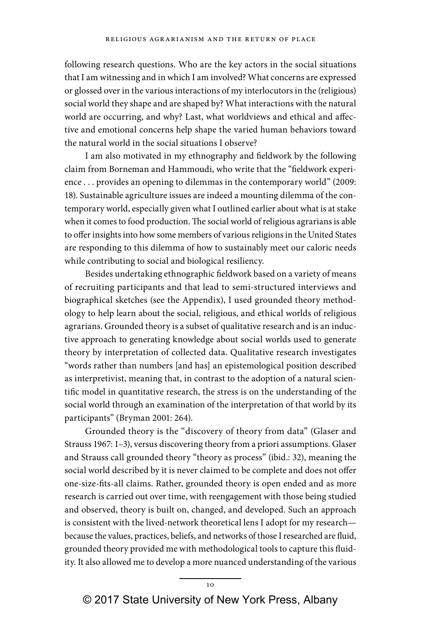following research questions. Who are the key actors in the social situations that I am witnessing and in which I am involved? What concerns are expressed or glossed over in the various interactions of my interlocutors in the (religious) social world they shape and are shaped by? What interactions with the natural world are occurring, and why? Last, what worldviews and ethical and affective and emotional concerns help shape the varied human behaviors toward the natural world in the social situations I observe?

I am also motivated in my ethnography and fieldwork by the following claim from Borneman and Hammoudi, who write that the "fieldwork experience . . . provides an opening to dilemmas in the contemporary world" (2009: 18). Sustainable agriculture issues are indeed a mounting dilemma of the contemporary world, especially given what I outlined earlier about what is at stake when it comes to food production. The social world of religious agrarians is able to offer insights into how some members of various religions in the United States are responding to this dilemma of how to sustainably meet our caloric needs while contributing to social and biological resiliency.

Besides undertaking ethnographic fieldwork based on a variety of means of recruiting participants and that lead to semi-structured interviews and biographical sketches (see the Appendix), I used grounded theory methodology to help learn about the social, religious, and ethical worlds of religious agrarians. Grounded theory is a subset of qualitative research and is an inductive approach to generating knowledge about social worlds used to generate theory by interpretation of collected data. Qualitative research investigates "words rather than numbers [and has] an epistemological position described as interpretivist, meaning that, in contrast to the adoption of a natural scientific model in quantitative research, the stress is on the understanding of the social world through an examination of the interpretation of that world by its participants" (Bryman 2001: 264).

Grounded theory is the "discovery of theory from data" (Glaser and Strauss 1967: 1–3), versus discovering theory from a priori assumptions. Glaser and Strauss call grounded theory "theory as process" (ibid.: 32), meaning the social world described by it is never claimed to be complete and does not offer one-size-fits-all claims. Rather, grounded theory is open ended and as more research is carried out over time, with reengagement with those being studied and observed, theory is built on, changed, and developed. Such an approach is consistent with the lived-network theoretical lens I adopt for my research because the values, practices, beliefs, and networks of those I researched are fluid, grounded theory provided me with methodological tools to capture this fluidity. It also allowed me to develop a more nuanced understanding of the various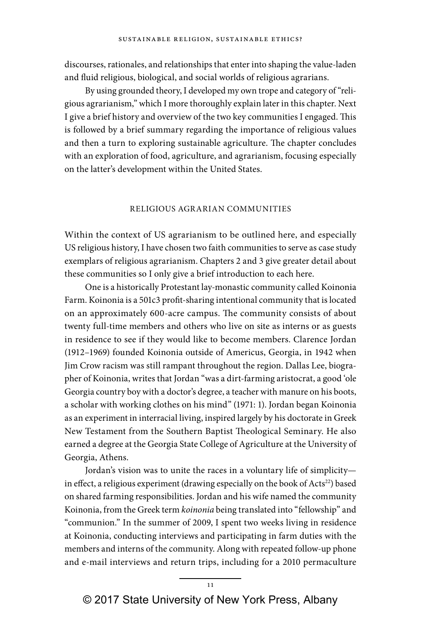discourses, rationales, and relationships that enter into shaping the value-laden and fluid religious, biological, and social worlds of religious agrarians.

By using grounded theory, I developed my own trope and category of "religious agrarianism," which I more thoroughly explain later in this chapter. Next I give a brief history and overview of the two key communities I engaged. This is followed by a brief summary regarding the importance of religious values and then a turn to exploring sustainable agriculture. The chapter concludes with an exploration of food, agriculture, and agrarianism, focusing especially on the latter's development within the United States.

## RELIGIOUS AGRARIAN COMMUNITIES

Within the context of US agrarianism to be outlined here, and especially US religious history, I have chosen two faith communities to serve as case study exemplars of religious agrarianism. Chapters 2 and 3 give greater detail about these communities so I only give a brief introduction to each here.

One is a historically Protestant lay-monastic community called Koinonia Farm. Koinonia is a 501c3 profit-sharing intentional community that is located on an approximately 600-acre campus. The community consists of about twenty full-time members and others who live on site as interns or as guests in residence to see if they would like to become members. Clarence Jordan (1912–1969) founded Koinonia outside of Americus, Georgia, in 1942 when Jim Crow racism was still rampant throughout the region. Dallas Lee, biographer of Koinonia, writes that Jordan "was a dirt-farming aristocrat, a good 'ole Georgia country boy with a doctor's degree, a teacher with manure on his boots, a scholar with working clothes on his mind" (1971: 1). Jordan began Koinonia as an experiment in interracial living, inspired largely by his doctorate in Greek New Testament from the Southern Baptist Theological Seminary. He also earned a degree at the Georgia State College of Agriculture at the University of Georgia, Athens.

Jordan's vision was to unite the races in a voluntary life of simplicity in effect, a religious experiment (drawing especially on the book of Acts<sup>22</sup>) based on shared farming responsibilities. Jordan and his wife named the community Koinonia, from the Greek term koinonia being translated into "fellowship" and "communion." In the summer of 2009, I spent two weeks living in residence at Koinonia, conducting interviews and participating in farm duties with the members and interns of the community. Along with repeated follow-up phone and e-mail interviews and return trips, including for a 2010 permaculture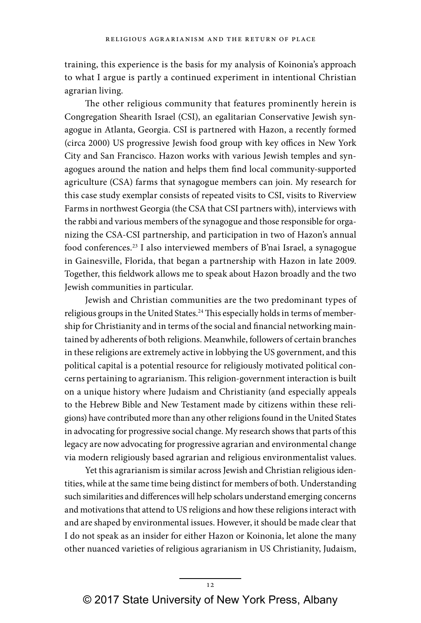training, this experience is the basis for my analysis of Koinonia's approach to what I argue is partly a continued experiment in intentional Christian agrarian living.

The other religious community that features prominently herein is Congregation Shearith Israel (CSI), an egalitarian Conservative Jewish synagogue in Atlanta, Georgia. CSI is partnered with Hazon, a recently formed (circa 2000) US progressive Jewish food group with key offices in New York City and San Francisco. Hazon works with various Jewish temples and synagogues around the nation and helps them find local community-supported agriculture (CSA) farms that synagogue members can join. My research for this case study exemplar consists of repeated visits to CSI, visits to Riverview Farms in northwest Georgia (the CSA that CSI partners with), interviews with the rabbi and various members of the synagogue and those responsible for organizing the CSA-CSI partnership, and participation in two of Hazon's annual food conferences.23 I also interviewed members of B'nai Israel, a synagogue in Gainesville, Florida, that began a partnership with Hazon in late 2009. Together, this fieldwork allows me to speak about Hazon broadly and the two Jewish communities in particular.

Jewish and Christian communities are the two predominant types of religious groups in the United States.<sup>24</sup> This especially holds in terms of membership for Christianity and in terms of the social and financial networking maintained by adherents of both religions. Meanwhile, followers of certain branches in these religions are extremely active in lobbying the US government, and this political capital is a potential resource for religiously motivated political concerns pertaining to agrarianism. This religion-government interaction is built on a unique history where Judaism and Christianity (and especially appeals to the Hebrew Bible and New Testament made by citizens within these religions) have contributed more than any other religions found in the United States in advocating for progressive social change. My research shows that parts of this legacy are now advocating for progressive agrarian and environmental change via modern religiously based agrarian and religious environmentalist values.

Yet this agrarianism is similar across Jewish and Christian religious identities, while at the same time being distinct for members of both. Understanding such similarities and differences will help scholars understand emerging concerns and motivations that attend to US religions and how these religions interact with and are shaped by environmental issues. However, it should be made clear that I do not speak as an insider for either Hazon or Koinonia, let alone the many other nuanced varieties of religious agrarianism in US Christianity, Judaism,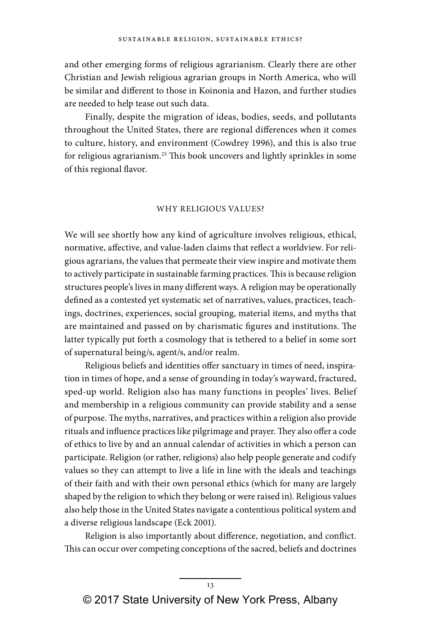and other emerging forms of religious agrarianism. Clearly there are other Christian and Jewish religious agrarian groups in North America, who will be similar and different to those in Koinonia and Hazon, and further studies are needed to help tease out such data.

Finally, despite the migration of ideas, bodies, seeds, and pollutants throughout the United States, there are regional differences when it comes to culture, history, and environment (Cowdrey 1996), and this is also true for religious agrarianism.<sup>25</sup> This book uncovers and lightly sprinkles in some of this regional flavor.

#### WHY RELIGIOUS VALUES?

We will see shortly how any kind of agriculture involves religious, ethical, normative, affective, and value-laden claims that reflect a worldview. For religious agrarians, the values that permeate their view inspire and motivate them to actively participate in sustainable farming practices. This is because religion structures people's lives in many different ways. A religion may be operationally defined as a contested yet systematic set of narratives, values, practices, teachings, doctrines, experiences, social grouping, material items, and myths that are maintained and passed on by charismatic figures and institutions. The latter typically put forth a cosmology that is tethered to a belief in some sort of supernatural being/s, agent/s, and/or realm.

Religious beliefs and identities offer sanctuary in times of need, inspiration in times of hope, and a sense of grounding in today's wayward, fractured, sped-up world. Religion also has many functions in peoples' lives. Belief and membership in a religious community can provide stability and a sense of purpose. The myths, narratives, and practices within a religion also provide rituals and influence practices like pilgrimage and prayer. They also offer a code of ethics to live by and an annual calendar of activities in which a person can participate. Religion (or rather, religions) also help people generate and codify values so they can attempt to live a life in line with the ideals and teachings of their faith and with their own personal ethics (which for many are largely shaped by the religion to which they belong or were raised in). Religious values also help those in the United States navigate a contentious political system and a diverse religious landscape (Eck 2001).

Religion is also importantly about difference, negotiation, and conflict. This can occur over competing conceptions of the sacred, beliefs and doctrines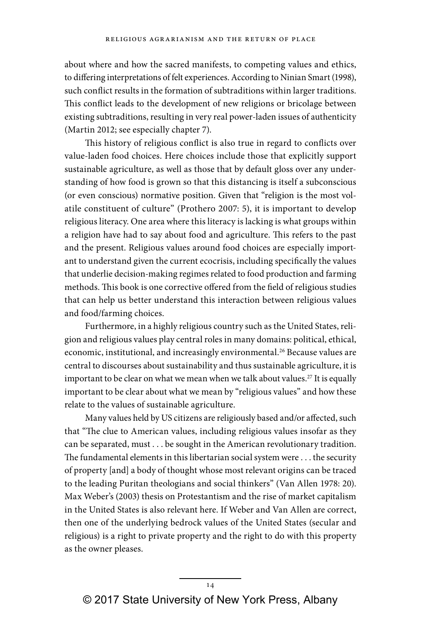about where and how the sacred manifests, to competing values and ethics, to differing interpretations of felt experiences. According to Ninian Smart (1998), such conflict results in the formation of subtraditions within larger traditions. This conflict leads to the development of new religions or bricolage between existing subtraditions, resulting in very real power-laden issues of authenticity (Martin 2012; see especially chapter 7).

This history of religious conflict is also true in regard to conflicts over value-laden food choices. Here choices include those that explicitly support sustainable agriculture, as well as those that by default gloss over any understanding of how food is grown so that this distancing is itself a subconscious (or even conscious) normative position. Given that "religion is the most volatile constituent of culture" (Prothero 2007: 5), it is important to develop religious literacy. One area where this literacy is lacking is what groups within a religion have had to say about food and agriculture. This refers to the past and the present. Religious values around food choices are especially important to understand given the current ecocrisis, including specifically the values that underlie decision-making regimes related to food production and farming methods. This book is one corrective offered from the field of religious studies that can help us better understand this interaction between religious values and food/farming choices.

Furthermore, in a highly religious country such as the United States, religion and religious values play central roles in many domains: political, ethical, economic, institutional, and increasingly environmental.<sup>26</sup> Because values are central to discourses about sustainability and thus sustainable agriculture, it is important to be clear on what we mean when we talk about values.<sup>27</sup> It is equally important to be clear about what we mean by "religious values" and how these relate to the values of sustainable agriculture.

Many values held by US citizens are religiously based and/or affected, such that "The clue to American values, including religious values insofar as they can be separated, must . . . be sought in the American revolutionary tradition. The fundamental elements in this libertarian social system were . . . the security of property [and] a body of thought whose most relevant origins can be traced to the leading Puritan theologians and social thinkers" (Van Allen 1978: 20). Max Weber's (2003) thesis on Protestantism and the rise of market capitalism in the United States is also relevant here. If Weber and Van Allen are correct, then one of the underlying bedrock values of the United States (secular and religious) is a right to private property and the right to do with this property as the owner pleases.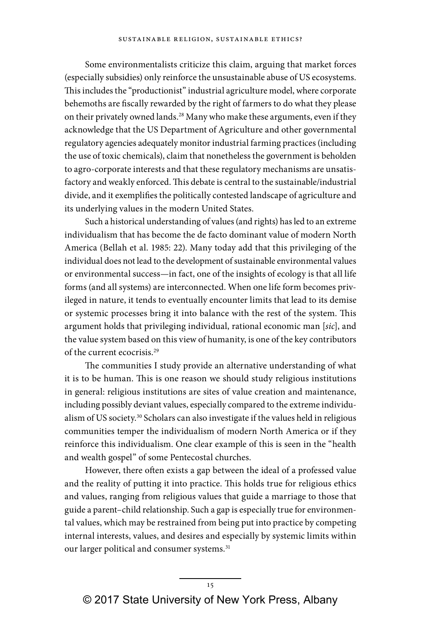Some environmentalists criticize this claim, arguing that market forces (especially subsidies) only reinforce the unsustainable abuse of US ecosystems. This includes the "productionist" industrial agriculture model, where corporate behemoths are fiscally rewarded by the right of farmers to do what they please on their privately owned lands.<sup>28</sup> Many who make these arguments, even if they acknowledge that the US Department of Agriculture and other governmental regulatory agencies adequately monitor industrial farming practices (including the use of toxic chemicals), claim that nonetheless the government is beholden to agro-corporate interests and that these regulatory mechanisms are unsatisfactory and weakly enforced. This debate is central to the sustainable/industrial divide, and it exemplifies the politically contested landscape of agriculture and its underlying values in the modern United States.

Such a historical understanding of values (and rights) has led to an extreme individualism that has become the de facto dominant value of modern North America (Bellah et al. 1985: 22). Many today add that this privileging of the individual does not lead to the development of sustainable environmental values or environmental success—in fact, one of the insights of ecology is that all life forms (and all systems) are interconnected. When one life form becomes privileged in nature, it tends to eventually encounter limits that lead to its demise or systemic processes bring it into balance with the rest of the system. This argument holds that privileging individual, rational economic man [sic], and the value system based on this view of humanity, is one of the key contributors of the current ecocrisis.29

The communities I study provide an alternative understanding of what it is to be human. This is one reason we should study religious institutions in general: religious institutions are sites of value creation and maintenance, including possibly deviant values, especially compared to the extreme individualism of US society.<sup>30</sup> Scholars can also investigate if the values held in religious communities temper the individualism of modern North America or if they reinforce this individualism. One clear example of this is seen in the "health and wealth gospel" of some Pentecostal churches.

However, there often exists a gap between the ideal of a professed value and the reality of putting it into practice. This holds true for religious ethics and values, ranging from religious values that guide a marriage to those that guide a parent–child relationship. Such a gap is especially true for environmental values, which may be restrained from being put into practice by competing internal interests, values, and desires and especially by systemic limits within our larger political and consumer systems.<sup>31</sup>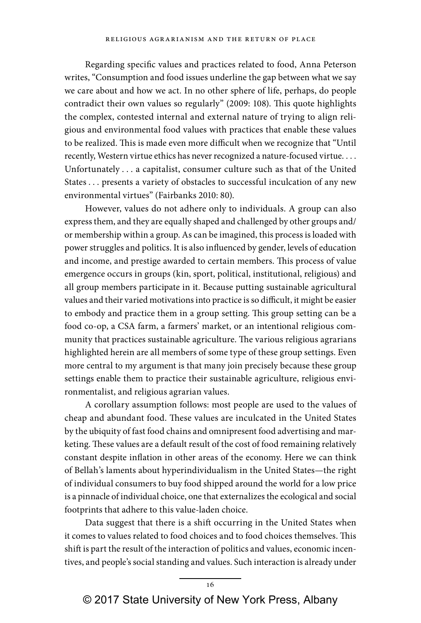Regarding specific values and practices related to food, Anna Peterson writes, "Consumption and food issues underline the gap between what we say we care about and how we act. In no other sphere of life, perhaps, do people contradict their own values so regularly" (2009: 108). This quote highlights the complex, contested internal and external nature of trying to align religious and environmental food values with practices that enable these values to be realized. This is made even more difficult when we recognize that "Until recently, Western virtue ethics has never recognized a nature-focused virtue. . . . Unfortunately . . . a capitalist, consumer culture such as that of the United States . . . presents a variety of obstacles to successful inculcation of any new environmental virtues" (Fairbanks 2010: 80).

However, values do not adhere only to individuals. A group can also express them, and they are equally shaped and challenged by other groups and/ or membership within a group. As can be imagined, this process is loaded with power struggles and politics. It is also influenced by gender, levels of education and income, and prestige awarded to certain members. This process of value emergence occurs in groups (kin, sport, political, institutional, religious) and all group members participate in it. Because putting sustainable agricultural values and their varied motivations into practice is so difficult, it might be easier to embody and practice them in a group setting. This group setting can be a food co-op, a CSA farm, a farmers' market, or an intentional religious community that practices sustainable agriculture. The various religious agrarians highlighted herein are all members of some type of these group settings. Even more central to my argument is that many join precisely because these group settings enable them to practice their sustainable agriculture, religious environmentalist, and religious agrarian values.

A corollary assumption follows: most people are used to the values of cheap and abundant food. These values are inculcated in the United States by the ubiquity of fast food chains and omnipresent food advertising and marketing. These values are a default result of the cost of food remaining relatively constant despite inflation in other areas of the economy. Here we can think of Bellah's laments about hyperindividualism in the United States—the right of individual consumers to buy food shipped around the world for a low price is a pinnacle of individual choice, one that externalizes the ecological and social footprints that adhere to this value-laden choice.

Data suggest that there is a shift occurring in the United States when it comes to values related to food choices and to food choices themselves. This shift is part the result of the interaction of politics and values, economic incentives, and people's social standing and values. Such interaction is already under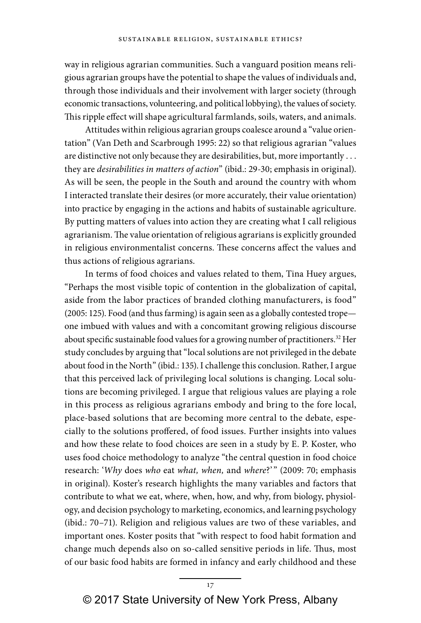way in religious agrarian communities. Such a vanguard position means religious agrarian groups have the potential to shape the values of individuals and, through those individuals and their involvement with larger society (through economic transactions, volunteering, and political lobbying), the values of society. This ripple effect will shape agricultural farmlands, soils, waters, and animals.

Attitudes within religious agrarian groups coalesce around a "value orientation" (Van Deth and Scarbrough 1995: 22) so that religious agrarian "values are distinctive not only because they are desirabilities, but, more importantly . . . they are *desirabilities in matters of action*" (ibid.: 29-30; emphasis in original). As will be seen, the people in the South and around the country with whom I interacted translate their desires (or more accurately, their value orientation) into practice by engaging in the actions and habits of sustainable agriculture. By putting matters of values into action they are creating what I call religious agrarianism. The value orientation of religious agrarians is explicitly grounded in religious environmentalist concerns. These concerns affect the values and thus actions of religious agrarians.

In terms of food choices and values related to them, Tina Huey argues, "Perhaps the most visible topic of contention in the globalization of capital, aside from the labor practices of branded clothing manufacturers, is food" (2005: 125). Food (and thus farming) is again seen as a globally contested trope one imbued with values and with a concomitant growing religious discourse about specific sustainable food values for a growing number of practitioners.<sup>32</sup> Her study concludes by arguing that "local solutions are not privileged in the debate about food in the North" (ibid.: 135). I challenge this conclusion. Rather, I argue that this perceived lack of privileging local solutions is changing. Local solutions are becoming privileged. I argue that religious values are playing a role in this process as religious agrarians embody and bring to the fore local, place-based solutions that are becoming more central to the debate, especially to the solutions proffered, of food issues. Further insights into values and how these relate to food choices are seen in a study by E. P. Koster, who uses food choice methodology to analyze "the central question in food choice research: 'Why does who eat what, when, and where?'" (2009: 70; emphasis in original). Koster's research highlights the many variables and factors that contribute to what we eat, where, when, how, and why, from biology, physiology, and decision psychology to marketing, economics, and learning psychology (ibid.: 70–71). Religion and religious values are two of these variables, and important ones. Koster posits that "with respect to food habit formation and change much depends also on so-called sensitive periods in life. Thus, most of our basic food habits are formed in infancy and early childhood and these

17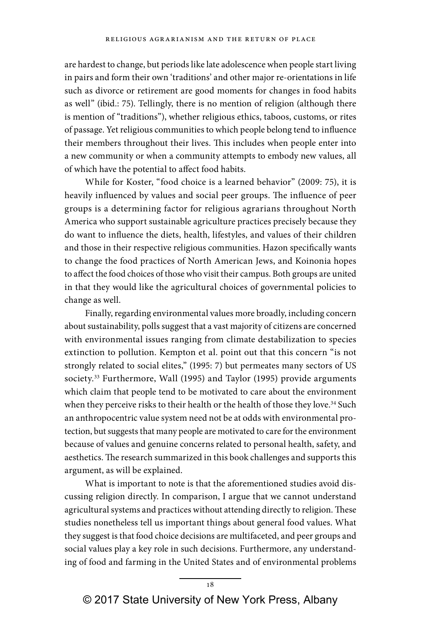are hardest to change, but periods like late adolescence when people start living in pairs and form their own 'traditions' and other major re-orientations in life such as divorce or retirement are good moments for changes in food habits as well" (ibid.: 75). Tellingly, there is no mention of religion (although there is mention of "traditions"), whether religious ethics, taboos, customs, or rites of passage. Yet religious communities to which people belong tend to influence their members throughout their lives. This includes when people enter into a new community or when a community attempts to embody new values, all of which have the potential to affect food habits.

While for Koster, "food choice is a learned behavior" (2009: 75), it is heavily influenced by values and social peer groups. The influence of peer groups is a determining factor for religious agrarians throughout North America who support sustainable agriculture practices precisely because they do want to influence the diets, health, lifestyles, and values of their children and those in their respective religious communities. Hazon specifically wants to change the food practices of North American Jews, and Koinonia hopes to affect the food choices of those who visit their campus. Both groups are united in that they would like the agricultural choices of governmental policies to change as well.

Finally, regarding environmental values more broadly, including concern about sustainability, polls suggest that a vast majority of citizens are concerned with environmental issues ranging from climate destabilization to species extinction to pollution. Kempton et al. point out that this concern "is not strongly related to social elites," (1995: 7) but permeates many sectors of US society.<sup>33</sup> Furthermore, Wall (1995) and Taylor (1995) provide arguments which claim that people tend to be motivated to care about the environment when they perceive risks to their health or the health of those they love.<sup>34</sup> Such an anthropocentric value system need not be at odds with environmental protection, but suggests that many people are motivated to care for the environment because of values and genuine concerns related to personal health, safety, and aesthetics. The research summarized in this book challenges and supports this argument, as will be explained.

What is important to note is that the aforementioned studies avoid discussing religion directly. In comparison, I argue that we cannot understand agricultural systems and practices without attending directly to religion. These studies nonetheless tell us important things about general food values. What they suggest is that food choice decisions are multifaceted, and peer groups and social values play a key role in such decisions. Furthermore, any understanding of food and farming in the United States and of environmental problems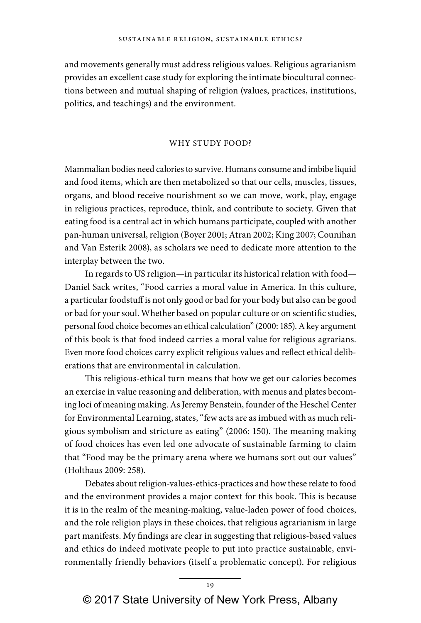and movements generally must address religious values. Religious agrarianism provides an excellent case study for exploring the intimate biocultural connections between and mutual shaping of religion (values, practices, institutions, politics, and teachings) and the environment.

#### WHY STUDY FOOD?

Mammalian bodies need calories to survive. Humans consume and imbibe liquid and food items, which are then metabolized so that our cells, muscles, tissues, organs, and blood receive nourishment so we can move, work, play, engage in religious practices, reproduce, think, and contribute to society. Given that eating food is a central act in which humans participate, coupled with another pan-human universal, religion (Boyer 2001; Atran 2002; King 2007; Counihan and Van Esterik 2008), as scholars we need to dedicate more attention to the interplay between the two.

In regards to US religion—in particular its historical relation with food— Daniel Sack writes, "Food carries a moral value in America. In this culture, a particular foodstuff is not only good or bad for your body but also can be good or bad for your soul. Whether based on popular culture or on scientific studies, personal food choice becomes an ethical calculation" (2000: 185). A key argument of this book is that food indeed carries a moral value for religious agrarians. Even more food choices carry explicit religious values and reflect ethical deliberations that are environmental in calculation.

This religious-ethical turn means that how we get our calories becomes an exercise in value reasoning and deliberation, with menus and plates becoming loci of meaning making. As Jeremy Benstein, founder of the Heschel Center for Environmental Learning, states, "few acts are as imbued with as much religious symbolism and stricture as eating" (2006: 150). The meaning making of food choices has even led one advocate of sustainable farming to claim that "Food may be the primary arena where we humans sort out our values" (Holthaus 2009: 258).

Debates about religion-values-ethics-practices and how these relate to food and the environment provides a major context for this book. This is because it is in the realm of the meaning-making, value-laden power of food choices, and the role religion plays in these choices, that religious agrarianism in large part manifests. My findings are clear in suggesting that religious-based values and ethics do indeed motivate people to put into practice sustainable, environmentally friendly behaviors (itself a problematic concept). For religious